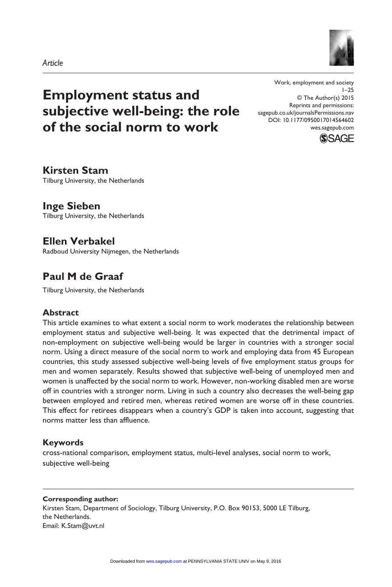

# **Employment status and subjective well-being: the role of the social norm to work**

Work, employment and society 1–25 © The Author(s) 2015 Reprints and permissions: sagepub.co.uk/journalsPermissions.nav DOI: 10.1177/0950017014564602 wes.sagepub.com



# **Kirsten Stam**

*Article*

Tilburg University, the Netherlands

**Inge Sieben** Tilburg University, the Netherlands

**Ellen Verbakel**

Radboud University Nijmegen, the Netherlands

# **Paul M de Graaf**

Tilburg University, the Netherlands

# **Abstract**

This article examines to what extent a social norm to work moderates the relationship between employment status and subjective well-being. It was expected that the detrimental impact of non-employment on subjective well-being would be larger in countries with a stronger social norm. Using a direct measure of the social norm to work and employing data from 45 European countries, this study assessed subjective well-being levels of five employment status groups for men and women separately. Results showed that subjective well-being of unemployed men and women is unaffected by the social norm to work. However, non-working disabled men are worse off in countries with a stronger norm. Living in such a country also decreases the well-being gap between employed and retired men, whereas retired women are worse off in these countries. This effect for retirees disappears when a country's GDP is taken into account, suggesting that norms matter less than affluence.

#### **Keywords**

cross-national comparison, employment status, multi-level analyses, social norm to work, subjective well-being

#### **Corresponding author:**

Kirsten Stam, Department of Sociology, Tilburg University, P.O. Box 90153, 5000 LE Tilburg, the Netherlands. Email: [K.Stam@uvt.nl](mailto:K.Stam@uvt.nl)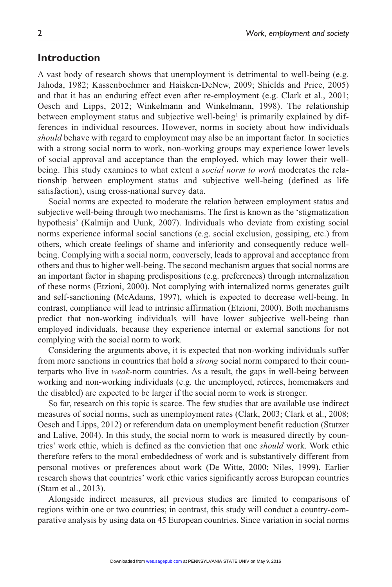## **Introduction**

A vast body of research shows that unemployment is detrimental to well-being (e.g. Jahoda, 1982; Kassenboehmer and Haisken-DeNew, 2009; Shields and Price, 2005) and that it has an enduring effect even after re-employment (e.g. Clark et al., 2001; Oesch and Lipps, 2012; Winkelmann and Winkelmann, 1998). The relationship between employment status and subjective well-being<sup>1</sup> is primarily explained by differences in individual resources. However, norms in society about how individuals *should* behave with regard to employment may also be an important factor. In societies with a strong social norm to work, non-working groups may experience lower levels of social approval and acceptance than the employed, which may lower their wellbeing. This study examines to what extent a *social norm to work* moderates the relationship between employment status and subjective well-being (defined as life satisfaction), using cross-national survey data.

Social norms are expected to moderate the relation between employment status and subjective well-being through two mechanisms. The first is known as the 'stigmatization hypothesis' (Kalmijn and Uunk, 2007). Individuals who deviate from existing social norms experience informal social sanctions (e.g. social exclusion, gossiping, etc.) from others, which create feelings of shame and inferiority and consequently reduce wellbeing. Complying with a social norm, conversely, leads to approval and acceptance from others and thus to higher well-being. The second mechanism argues that social norms are an important factor in shaping predispositions (e.g. preferences) through internalization of these norms (Etzioni, 2000). Not complying with internalized norms generates guilt and self-sanctioning (McAdams, 1997), which is expected to decrease well-being. In contrast, compliance will lead to intrinsic affirmation (Etzioni, 2000). Both mechanisms predict that non-working individuals will have lower subjective well-being than employed individuals, because they experience internal or external sanctions for not complying with the social norm to work.

Considering the arguments above, it is expected that non-working individuals suffer from more sanctions in countries that hold a *strong* social norm compared to their counterparts who live in *weak*-norm countries. As a result, the gaps in well-being between working and non-working individuals (e.g. the unemployed, retirees, homemakers and the disabled) are expected to be larger if the social norm to work is stronger.

So far, research on this topic is scarce. The few studies that are available use indirect measures of social norms, such as unemployment rates (Clark, 2003; Clark et al., 2008; Oesch and Lipps, 2012) or referendum data on unemployment benefit reduction (Stutzer and Lalive, 2004). In this study, the social norm to work is measured directly by countries' work ethic, which is defined as the conviction that one *should* work. Work ethic therefore refers to the moral embeddedness of work and is substantively different from personal motives or preferences about work (De Witte, 2000; Niles, 1999). Earlier research shows that countries' work ethic varies significantly across European countries (Stam et al., 2013).

Alongside indirect measures, all previous studies are limited to comparisons of regions within one or two countries; in contrast, this study will conduct a country-comparative analysis by using data on 45 European countries. Since variation in social norms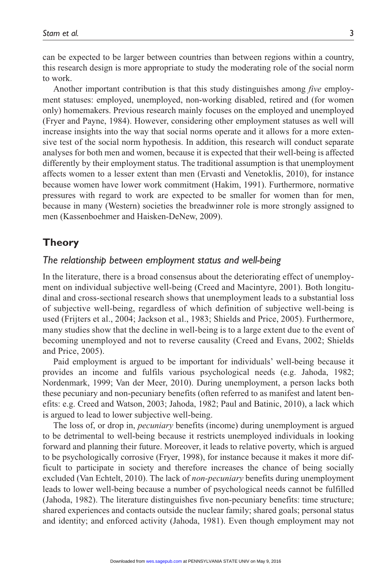can be expected to be larger between countries than between regions within a country, this research design is more appropriate to study the moderating role of the social norm to work.

Another important contribution is that this study distinguishes among *five* employment statuses: employed, unemployed, non-working disabled, retired and (for women only) homemakers. Previous research mainly focuses on the employed and unemployed (Fryer and Payne, 1984). However, considering other employment statuses as well will increase insights into the way that social norms operate and it allows for a more extensive test of the social norm hypothesis. In addition, this research will conduct separate analyses for both men and women, because it is expected that their well-being is affected differently by their employment status. The traditional assumption is that unemployment affects women to a lesser extent than men (Ervasti and Venetoklis, 2010), for instance because women have lower work commitment (Hakim, 1991). Furthermore, normative pressures with regard to work are expected to be smaller for women than for men, because in many (Western) societies the breadwinner role is more strongly assigned to men (Kassenboehmer and Haisken-DeNew, 2009).

# **Theory**

## *The relationship between employment status and well-being*

In the literature, there is a broad consensus about the deteriorating effect of unemployment on individual subjective well-being (Creed and Macintyre, 2001). Both longitudinal and cross-sectional research shows that unemployment leads to a substantial loss of subjective well-being, regardless of which definition of subjective well-being is used (Frijters et al., 2004; Jackson et al., 1983; Shields and Price, 2005). Furthermore, many studies show that the decline in well-being is to a large extent due to the event of becoming unemployed and not to reverse causality (Creed and Evans, 2002; Shields and Price, 2005).

Paid employment is argued to be important for individuals' well-being because it provides an income and fulfils various psychological needs (e.g. Jahoda, 1982; Nordenmark, 1999; Van der Meer, 2010). During unemployment, a person lacks both these pecuniary and non-pecuniary benefits (often referred to as manifest and latent benefits: e.g. Creed and Watson, 2003; Jahoda, 1982; Paul and Batinic, 2010), a lack which is argued to lead to lower subjective well-being.

The loss of, or drop in, *pecuniary* benefits (income) during unemployment is argued to be detrimental to well-being because it restricts unemployed individuals in looking forward and planning their future. Moreover, it leads to relative poverty, which is argued to be psychologically corrosive (Fryer, 1998), for instance because it makes it more difficult to participate in society and therefore increases the chance of being socially excluded (Van Echtelt, 2010). The lack of *non-pecuniary* benefits during unemployment leads to lower well-being because a number of psychological needs cannot be fulfilled (Jahoda, 1982). The literature distinguishes five non-pecuniary benefits: time structure; shared experiences and contacts outside the nuclear family; shared goals; personal status and identity; and enforced activity (Jahoda, 1981). Even though employment may not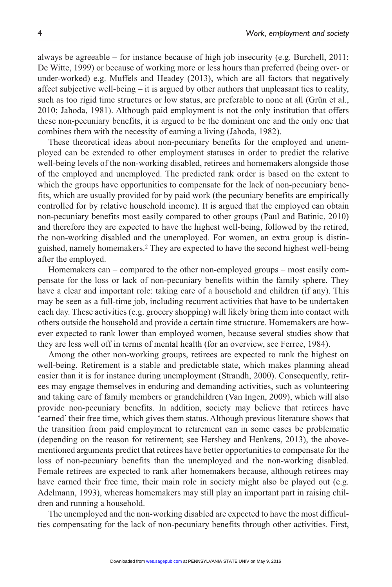always be agreeable – for instance because of high job insecurity (e.g. Burchell, 2011; De Witte, 1999) or because of working more or less hours than preferred (being over- or under-worked) e.g. Muffels and Headey (2013), which are all factors that negatively affect subjective well-being – it is argued by other authors that unpleasant ties to reality, such as too rigid time structures or low status, are preferable to none at all (Grün et al., 2010; Jahoda, 1981). Although paid employment is not the only institution that offers these non-pecuniary benefits, it is argued to be the dominant one and the only one that combines them with the necessity of earning a living (Jahoda, 1982).

These theoretical ideas about non-pecuniary benefits for the employed and unemployed can be extended to other employment statuses in order to predict the relative well-being levels of the non-working disabled, retirees and homemakers alongside those of the employed and unemployed. The predicted rank order is based on the extent to which the groups have opportunities to compensate for the lack of non-pecuniary benefits, which are usually provided for by paid work (the pecuniary benefits are empirically controlled for by relative household income). It is argued that the employed can obtain non-pecuniary benefits most easily compared to other groups (Paul and Batinic, 2010) and therefore they are expected to have the highest well-being, followed by the retired, the non-working disabled and the unemployed. For women, an extra group is distinguished, namely homemakers.2 They are expected to have the second highest well-being after the employed.

Homemakers can – compared to the other non-employed groups – most easily compensate for the loss or lack of non-pecuniary benefits within the family sphere. They have a clear and important role: taking care of a household and children (if any). This may be seen as a full-time job, including recurrent activities that have to be undertaken each day. These activities (e.g. grocery shopping) will likely bring them into contact with others outside the household and provide a certain time structure. Homemakers are however expected to rank lower than employed women, because several studies show that they are less well off in terms of mental health (for an overview, see Ferree, 1984).

Among the other non-working groups, retirees are expected to rank the highest on well-being. Retirement is a stable and predictable state, which makes planning ahead easier than it is for instance during unemployment (Strandh, 2000). Consequently, retirees may engage themselves in enduring and demanding activities, such as volunteering and taking care of family members or grandchildren (Van Ingen, 2009), which will also provide non-pecuniary benefits. In addition, society may believe that retirees have 'earned' their free time, which gives them status. Although previous literature shows that the transition from paid employment to retirement can in some cases be problematic (depending on the reason for retirement; see Hershey and Henkens, 2013), the abovementioned arguments predict that retirees have better opportunities to compensate for the loss of non-pecuniary benefits than the unemployed and the non-working disabled. Female retirees are expected to rank after homemakers because, although retirees may have earned their free time, their main role in society might also be played out (e.g. Adelmann, 1993), whereas homemakers may still play an important part in raising children and running a household.

The unemployed and the non-working disabled are expected to have the most difficulties compensating for the lack of non-pecuniary benefits through other activities. First,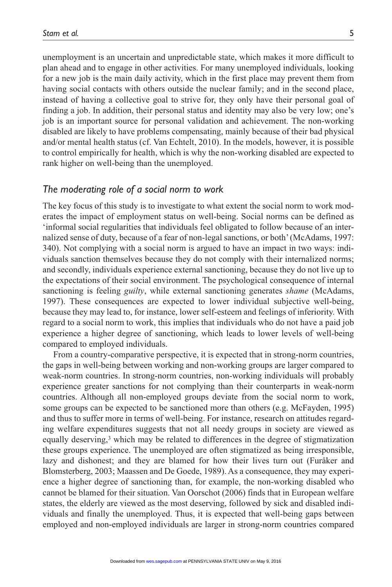unemployment is an uncertain and unpredictable state, which makes it more difficult to plan ahead and to engage in other activities. For many unemployed individuals, looking for a new job is the main daily activity, which in the first place may prevent them from having social contacts with others outside the nuclear family; and in the second place, instead of having a collective goal to strive for, they only have their personal goal of finding a job. In addition, their personal status and identity may also be very low; one's job is an important source for personal validation and achievement. The non-working disabled are likely to have problems compensating, mainly because of their bad physical and/or mental health status (cf. Van Echtelt, 2010). In the models, however, it is possible to control empirically for health, which is why the non-working disabled are expected to rank higher on well-being than the unemployed.

#### *The moderating role of a social norm to work*

The key focus of this study is to investigate to what extent the social norm to work moderates the impact of employment status on well-being. Social norms can be defined as 'informal social regularities that individuals feel obligated to follow because of an internalized sense of duty, because of a fear of non-legal sanctions, or both' (McAdams, 1997: 340). Not complying with a social norm is argued to have an impact in two ways: individuals sanction themselves because they do not comply with their internalized norms; and secondly, individuals experience external sanctioning, because they do not live up to the expectations of their social environment. The psychological consequence of internal sanctioning is feeling *guilty*, while external sanctioning generates *shame* (McAdams, 1997). These consequences are expected to lower individual subjective well-being, because they may lead to, for instance, lower self-esteem and feelings of inferiority. With regard to a social norm to work, this implies that individuals who do not have a paid job experience a higher degree of sanctioning, which leads to lower levels of well-being compared to employed individuals.

From a country-comparative perspective, it is expected that in strong-norm countries, the gaps in well-being between working and non-working groups are larger compared to weak-norm countries. In strong-norm countries, non-working individuals will probably experience greater sanctions for not complying than their counterparts in weak-norm countries. Although all non-employed groups deviate from the social norm to work, some groups can be expected to be sanctioned more than others (e.g. McFayden, 1995) and thus to suffer more in terms of well-being. For instance, research on attitudes regarding welfare expenditures suggests that not all needy groups in society are viewed as equally deserving,3 which may be related to differences in the degree of stigmatization these groups experience. The unemployed are often stigmatized as being irresponsible, lazy and dishonest; and they are blamed for how their lives turn out (Furåker and Blomsterberg, 2003; Maassen and De Goede, 1989). As a consequence, they may experience a higher degree of sanctioning than, for example, the non-working disabled who cannot be blamed for their situation. Van Oorschot (2006) finds that in European welfare states, the elderly are viewed as the most deserving, followed by sick and disabled individuals and finally the unemployed. Thus, it is expected that well-being gaps between employed and non-employed individuals are larger in strong-norm countries compared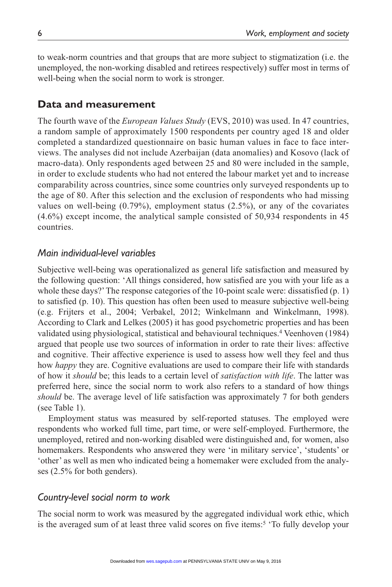to weak-norm countries and that groups that are more subject to stigmatization (i.e. the unemployed, the non-working disabled and retirees respectively) suffer most in terms of well-being when the social norm to work is stronger.

# **Data and measurement**

The fourth wave of the *European Values Study* (EVS, 2010) was used. In 47 countries, a random sample of approximately 1500 respondents per country aged 18 and older completed a standardized questionnaire on basic human values in face to face interviews. The analyses did not include Azerbaijan (data anomalies) and Kosovo (lack of macro-data). Only respondents aged between 25 and 80 were included in the sample, in order to exclude students who had not entered the labour market yet and to increase comparability across countries, since some countries only surveyed respondents up to the age of 80. After this selection and the exclusion of respondents who had missing values on well-being (0.79%), employment status (2.5%), or any of the covariates (4.6%) except income, the analytical sample consisted of 50,934 respondents in 45 countries.

#### *Main individual-level variables*

Subjective well-being was operationalized as general life satisfaction and measured by the following question: 'All things considered, how satisfied are you with your life as a whole these days?' The response categories of the 10-point scale were: dissatisfied (p. 1) to satisfied (p. 10). This question has often been used to measure subjective well-being (e.g. Frijters et al., 2004; Verbakel, 2012; Winkelmann and Winkelmann, 1998). According to Clark and Lelkes (2005) it has good psychometric properties and has been validated using physiological, statistical and behavioural techniques.4 Veenhoven (1984) argued that people use two sources of information in order to rate their lives: affective and cognitive. Their affective experience is used to assess how well they feel and thus how *happy* they are. Cognitive evaluations are used to compare their life with standards of how it *should* be; this leads to a certain level of *satisfaction with life*. The latter was preferred here, since the social norm to work also refers to a standard of how things *should* be. The average level of life satisfaction was approximately 7 for both genders (see Table 1).

Employment status was measured by self-reported statuses. The employed were respondents who worked full time, part time, or were self-employed. Furthermore, the unemployed, retired and non-working disabled were distinguished and, for women, also homemakers. Respondents who answered they were 'in military service', 'students' or 'other' as well as men who indicated being a homemaker were excluded from the analyses (2.5% for both genders).

## *Country-level social norm to work*

The social norm to work was measured by the aggregated individual work ethic, which is the averaged sum of at least three valid scores on five items:<sup>5</sup> 'To fully develop your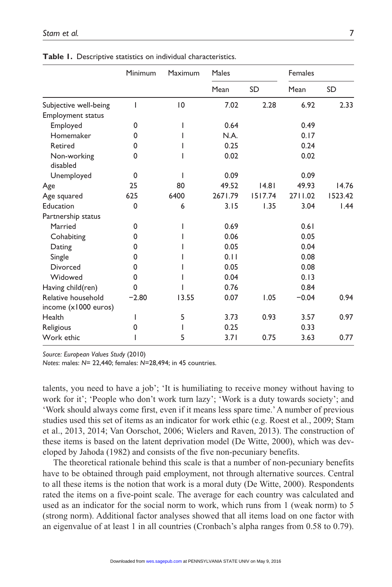|                                            | Minimum | Maximum | Males   |           | <b>Females</b> |           |
|--------------------------------------------|---------|---------|---------|-----------|----------------|-----------|
|                                            |         |         | Mean    | <b>SD</b> | Mean           | <b>SD</b> |
| Subjective well-being                      | ı       | 10      | 7.02    | 2.28      | 6.92           | 2.33      |
| <b>Employment status</b>                   |         |         |         |           |                |           |
| Employed                                   | 0       |         | 0.64    |           | 0.49           |           |
| Homemaker                                  | 0       |         | N.A.    |           | 0.17           |           |
| Retired                                    | 0       |         | 0.25    |           | 0.24           |           |
| Non-working<br>disabled                    | 0       |         | 0.02    |           | 0.02           |           |
| Unemployed                                 | 0       |         | 0.09    |           | 0.09           |           |
| Age                                        | 25      | 80      | 49.52   | 14.81     | 49.93          | 14.76     |
| Age squared                                | 625     | 6400    | 2671.79 | 1517.74   | 2711.02        | 1523.42   |
| Education                                  | 0       | 6       | 3.15    | 1.35      | 3.04           | 1.44      |
| Partnership status                         |         |         |         |           |                |           |
| Married                                    | 0       |         | 0.69    |           | 0.61           |           |
| Cohabiting                                 | 0       |         | 0.06    |           | 0.05           |           |
| Dating                                     | 0       |         | 0.05    |           | 0.04           |           |
| Single                                     | 0       |         | 0.11    |           | 0.08           |           |
| <b>Divorced</b>                            | 0       |         | 0.05    |           | 0.08           |           |
| Widowed                                    | 0       |         | 0.04    |           | 0.13           |           |
| Having child(ren)                          | 0       |         | 0.76    |           | 0.84           |           |
| Relative household<br>income (x1000 euros) | $-2.80$ | 13.55   | 0.07    | 1.05      | $-0.04$        | 0.94      |
| Health                                     |         | 5       | 3.73    | 0.93      | 3.57           | 0.97      |
| Religious                                  | 0       |         | 0.25    |           | 0.33           |           |
| Work ethic                                 |         | 5       | 3.71    | 0.75      | 3.63           | 0.77      |

**Table 1.** Descriptive statistics on individual characteristics.

*Source: European Values Study* (2010)

*Notes*: males: *N*= 22,440; females: *N*=28,494; in 45 countries.

talents, you need to have a job'; 'It is humiliating to receive money without having to work for it'; 'People who don't work turn lazy'; 'Work is a duty towards society'; and 'Work should always come first, even if it means less spare time.' A number of previous studies used this set of items as an indicator for work ethic (e.g. Roest et al., 2009; Stam et al., 2013, 2014; Van Oorschot, 2006; Wielers and Raven, 2013). The construction of these items is based on the latent deprivation model (De Witte, 2000), which was developed by Jahoda (1982) and consists of the five non-pecuniary benefits.

The theoretical rationale behind this scale is that a number of non-pecuniary benefits have to be obtained through paid employment, not through alternative sources. Central to all these items is the notion that work is a moral duty (De Witte, 2000). Respondents rated the items on a five-point scale. The average for each country was calculated and used as an indicator for the social norm to work, which runs from 1 (weak norm) to 5 (strong norm). Additional factor analyses showed that all items load on one factor with an eigenvalue of at least 1 in all countries (Cronbach's alpha ranges from 0.58 to 0.79).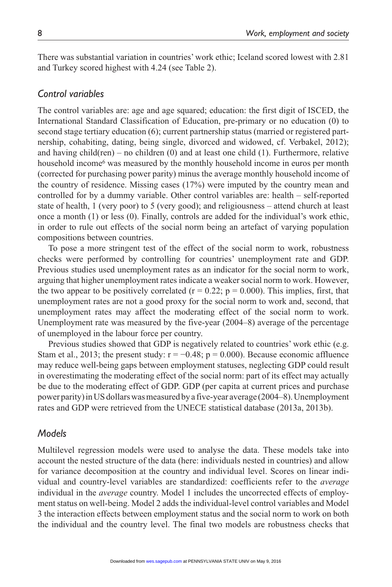There was substantial variation in countries' work ethic; Iceland scored lowest with 2.81 and Turkey scored highest with 4.24 (see Table 2).

#### *Control variables*

The control variables are: age and age squared; education: the first digit of ISCED, the International Standard Classification of Education, pre-primary or no education (0) to second stage tertiary education (6); current partnership status (married or registered partnership, cohabiting, dating, being single, divorced and widowed, cf. Verbakel, 2012); and having child(ren) – no children  $(0)$  and at least one child  $(1)$ . Furthermore, relative household income<sup>6</sup> was measured by the monthly household income in euros per month (corrected for purchasing power parity) minus the average monthly household income of the country of residence. Missing cases (17%) were imputed by the country mean and controlled for by a dummy variable. Other control variables are: health – self-reported state of health, 1 (very poor) to 5 (very good); and religiousness – attend church at least once a month (1) or less (0). Finally, controls are added for the individual's work ethic, in order to rule out effects of the social norm being an artefact of varying population compositions between countries.

To pose a more stringent test of the effect of the social norm to work, robustness checks were performed by controlling for countries' unemployment rate and GDP. Previous studies used unemployment rates as an indicator for the social norm to work, arguing that higher unemployment rates indicate a weaker social norm to work. However, the two appear to be positively correlated ( $r = 0.22$ ;  $p = 0.000$ ). This implies, first, that unemployment rates are not a good proxy for the social norm to work and, second, that unemployment rates may affect the moderating effect of the social norm to work. Unemployment rate was measured by the five-year (2004–8) average of the percentage of unemployed in the labour force per country.

Previous studies showed that GDP is negatively related to countries' work ethic (e.g. Stam et al., 2013; the present study:  $r = -0.48$ ;  $p = 0.000$ ). Because economic affluence may reduce well-being gaps between employment statuses, neglecting GDP could result in overestimating the moderating effect of the social norm: part of its effect may actually be due to the moderating effect of GDP. GDP (per capita at current prices and purchase power parity) in US dollars was measured by a five-year average (2004–8). Unemployment rates and GDP were retrieved from the UNECE statistical database (2013a, 2013b).

#### *Models*

Multilevel regression models were used to analyse the data. These models take into account the nested structure of the data (here: individuals nested in countries) and allow for variance decomposition at the country and individual level. Scores on linear individual and country-level variables are standardized: coefficients refer to the *average* individual in the *average* country. Model 1 includes the uncorrected effects of employment status on well-being. Model 2 adds the individual-level control variables and Model 3 the interaction effects between employment status and the social norm to work on both the individual and the country level. The final two models are robustness checks that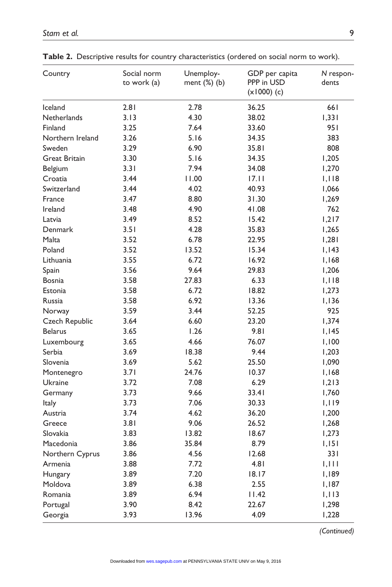| Country              | Social norm<br>to work (a) | Unemploy-<br>ment (%) (b) | GDP per capita<br>PPP in USD<br>(x1000) (c) | N respon-<br>dents |
|----------------------|----------------------------|---------------------------|---------------------------------------------|--------------------|
| Iceland              | 2.81                       | 2.78                      | 36.25                                       | 661                |
| <b>Netherlands</b>   | 3.13                       | 4.30                      | 38.02                                       | 1,331              |
| Finland              | 3.25                       | 7.64                      | 33.60                                       | 951                |
| Northern Ireland     | 3.26                       | 5.16                      | 34.35                                       | 383                |
| Sweden               | 3.29                       | 6.90                      | 35.81                                       | 808                |
| <b>Great Britain</b> | 3.30                       | 5.16                      | 34.35                                       | 1.205              |
| Belgium              | 3.31                       | 7.94                      | 34.08                                       | 1,270              |
| Croatia              | 3.44                       | 11.00                     | 17.11                                       | 1,118              |
| Switzerland          | 3.44                       | 4.02                      | 40.93                                       | 1,066              |
| France               | 3.47                       | 8.80                      | 31.30                                       | 1,269              |
| Ireland              | 3.48                       | 4.90                      | 41.08                                       | 762                |
| Latvia               | 3.49                       | 8.52                      | 15.42                                       | 1,217              |
| Denmark              | 3.51                       | 4.28                      | 35.83                                       | 1,265              |
| Malta                | 3.52                       | 6.78                      | 22.95                                       | 1,281              |
| Poland               | 3.52                       | 13.52                     | 15.34                                       | 1,143              |
| Lithuania            | 3.55                       | 6.72                      | 16.92                                       | 1,168              |
| Spain                | 3.56                       | 9.64                      | 29.83                                       | 1,206              |
| <b>Bosnia</b>        | 3.58                       | 27.83                     | 6.33                                        | 1,118              |
| Estonia              | 3.58                       | 6.72                      | 18.82                                       | 1,273              |
| Russia               | 3.58                       | 6.92                      | 13.36                                       | 1,136              |
| Norway               | 3.59                       | 3.44                      | 52.25                                       | 925                |
| Czech Republic       | 3.64                       | 6.60                      | 23.20                                       | 1,374              |
| <b>Belarus</b>       | 3.65                       | 1.26                      | 9.81                                        | 1,145              |
| Luxembourg           | 3.65                       | 4.66                      | 76.07                                       | 1,100              |
| Serbia               | 3.69                       | 18.38                     | 9.44                                        | 1,203              |
| Slovenia             | 3.69                       | 5.62                      | 25.50                                       | 1,090              |
| Montenegro           | 3.71                       | 24.76                     | 10.37                                       | 1,168              |
| <b>Ukraine</b>       | 3.72                       | 7.08                      | 6.29                                        | 1,213              |
| Germany              | 3.73                       | 9.66                      | 33.41                                       | 1,760              |
| Italy                | 3.73                       | 7.06                      | 30.33                                       | 1,119              |
| Austria              | 3.74                       | 4.62                      | 36.20                                       | 1,200              |
| Greece               | 3.81                       | 9.06                      | 26.52                                       | 1,268              |
| Slovakia             | 3.83                       | 13.82                     | 18.67                                       | 1,273              |
| Macedonia            | 3.86                       | 35.84                     | 8.79                                        | 1,151              |
| Northern Cyprus      | 3.86                       | 4.56                      | 12.68                                       | 331                |
| Armenia              | 3.88                       | 7.72                      | 4.81                                        | 1,111              |
| Hungary              | 3.89                       | 7.20                      | 18.17                                       | 1,189              |
| Moldova              | 3.89                       | 6.38                      | 2.55                                        | 1,187              |
| Romania              | 3.89                       | 6.94                      | 11.42                                       | 1,113              |
| Portugal             | 3.90                       | 8.42                      | 22.67                                       | 1,298              |
| Georgia              | 3.93                       | 13.96                     | 4.09                                        | 1,228              |

**Table 2.** Descriptive results for country characteristics (ordered on social norm to work).

 *(Continued)*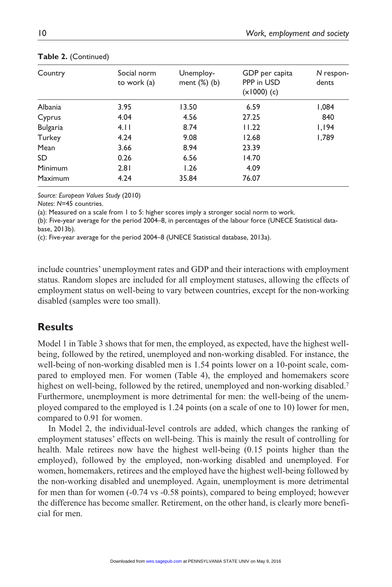| Country   | Social norm<br>to work (a) | Unemploy-<br>ment (%) (b) | GDP per capita<br>PPP in USD<br>$(x 000)$ (c) | N respon-<br>dents |
|-----------|----------------------------|---------------------------|-----------------------------------------------|--------------------|
| Albania   | 3.95                       | 13.50                     | 6.59                                          | 1,084              |
| Cyprus    | 4.04                       | 4.56                      | 27.25                                         | 840                |
| Bulgaria  | 4.11                       | 8.74                      | 11.22                                         | 1,194              |
| Turkey    | 4.24                       | 9.08                      | 12.68                                         | 1,789              |
| Mean      | 3.66                       | 8.94                      | 23.39                                         |                    |
| <b>SD</b> | 0.26                       | 6.56                      | 14.70                                         |                    |
| Minimum   | 2.81                       | 1.26                      | 4.09                                          |                    |
| Maximum   | 4.24                       | 35.84                     | 76.07                                         |                    |

#### **Table 2.** (Continued)

*Source: European Values Study* (2010)

*Notes*: *N*=45 countries.

(a): Measured on a scale from 1 to 5: higher scores imply a stronger social norm to work.

(b): Five-year average for the period 2004–8, in percentages of the labour force (UNECE Statistical database, 2013b).

(c): Five-year average for the period 2004–8 (UNECE Statistical database, 2013a).

include countries' unemployment rates and GDP and their interactions with employment status. Random slopes are included for all employment statuses, allowing the effects of employment status on well-being to vary between countries, except for the non-working disabled (samples were too small).

# **Results**

Model 1 in Table 3 shows that for men, the employed, as expected, have the highest wellbeing, followed by the retired, unemployed and non-working disabled. For instance, the well-being of non-working disabled men is 1.54 points lower on a 10-point scale, compared to employed men. For women (Table 4), the employed and homemakers score highest on well-being, followed by the retired, unemployed and non-working disabled.<sup>7</sup> Furthermore, unemployment is more detrimental for men: the well-being of the unemployed compared to the employed is 1.24 points (on a scale of one to 10) lower for men, compared to 0.91 for women.

In Model 2, the individual-level controls are added, which changes the ranking of employment statuses' effects on well-being. This is mainly the result of controlling for health. Male retirees now have the highest well-being (0.15 points higher than the employed), followed by the employed, non-working disabled and unemployed. For women, homemakers, retirees and the employed have the highest well-being followed by the non-working disabled and unemployed. Again, unemployment is more detrimental for men than for women (-0.74 vs -0.58 points), compared to being employed; however the difference has become smaller. Retirement, on the other hand, is clearly more beneficial for men.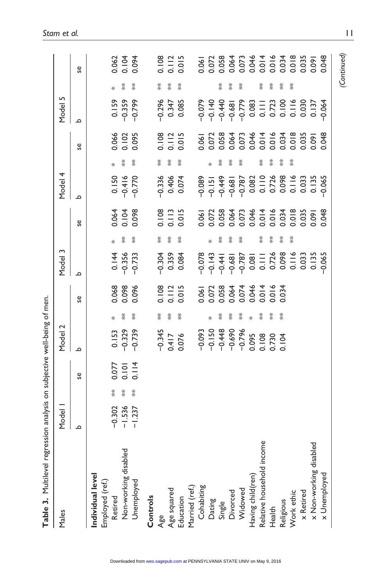| Table 3. Multilevel regression analysis on subjective well-being of men. |                                  |   |                           |                                                                                                                                                                                                                                                                                                                                    |   |                                                                                      |                                                                                                                                                                                                                                                                                                     |    |                         |                                  |   |                         |                                                                                                                                                                                                                                                                                     |   |                         |
|--------------------------------------------------------------------------|----------------------------------|---|---------------------------|------------------------------------------------------------------------------------------------------------------------------------------------------------------------------------------------------------------------------------------------------------------------------------------------------------------------------------|---|--------------------------------------------------------------------------------------|-----------------------------------------------------------------------------------------------------------------------------------------------------------------------------------------------------------------------------------------------------------------------------------------------------|----|-------------------------|----------------------------------|---|-------------------------|-------------------------------------------------------------------------------------------------------------------------------------------------------------------------------------------------------------------------------------------------------------------------------------|---|-------------------------|
| Males                                                                    | Model                            |   |                           | Model 2                                                                                                                                                                                                                                                                                                                            |   |                                                                                      | Model 3                                                                                                                                                                                                                                                                                             |    |                         | Model 4                          |   |                         | Model 5                                                                                                                                                                                                                                                                             |   |                         |
|                                                                          | م                                |   | 9S                        | م                                                                                                                                                                                                                                                                                                                                  |   | Se                                                                                   | م                                                                                                                                                                                                                                                                                                   |    | ပ္တ                     | م                                |   | ပ္တ                     | م                                                                                                                                                                                                                                                                                   |   | ပ္တ                     |
| Individual level                                                         |                                  |   |                           |                                                                                                                                                                                                                                                                                                                                    |   |                                                                                      |                                                                                                                                                                                                                                                                                                     |    |                         |                                  |   |                         |                                                                                                                                                                                                                                                                                     |   |                         |
| Employed (ref.)<br>Retired                                               |                                  | 菜 |                           |                                                                                                                                                                                                                                                                                                                                    | ∗ |                                                                                      |                                                                                                                                                                                                                                                                                                     | ∗  |                         |                                  |   |                         |                                                                                                                                                                                                                                                                                     |   |                         |
|                                                                          | $-0.302$<br>$-1.536$<br>$-1.237$ | 粪 | $0.077$<br>0.101<br>0.114 |                                                                                                                                                                                                                                                                                                                                    | 菜 | 0.068<br>0.098<br>0.096                                                              |                                                                                                                                                                                                                                                                                                     | ¥, | 0.064<br>0.104<br>0.098 |                                  | ≸ | 0.066<br>0.102<br>0.095 | $-0.159$<br>$-0.359$<br>$-0.799$                                                                                                                                                                                                                                                    |   | 0.062<br>0.104<br>0.094 |
| Non-working disabled<br>Unemployed                                       |                                  | 菜 |                           | $0.153$<br>$-0.329$<br>$-0.739$                                                                                                                                                                                                                                                                                                    | 菜 |                                                                                      | $-0.144$<br>$-0.356$<br>$-0.733$                                                                                                                                                                                                                                                                    | 菜  |                         | $-0.150$<br>$-0.416$<br>$-0.770$ | 菜 |                         |                                                                                                                                                                                                                                                                                     | 菜 |                         |
| Controls                                                                 |                                  |   |                           |                                                                                                                                                                                                                                                                                                                                    |   |                                                                                      |                                                                                                                                                                                                                                                                                                     |    |                         |                                  |   |                         |                                                                                                                                                                                                                                                                                     |   |                         |
| Age                                                                      |                                  |   |                           |                                                                                                                                                                                                                                                                                                                                    | 菜 |                                                                                      |                                                                                                                                                                                                                                                                                                     | 菜  |                         |                                  | 菜 |                         |                                                                                                                                                                                                                                                                                     | 菜 |                         |
|                                                                          |                                  |   |                           |                                                                                                                                                                                                                                                                                                                                    | 菜 |                                                                                      |                                                                                                                                                                                                                                                                                                     | 菜  |                         |                                  | 菜 |                         |                                                                                                                                                                                                                                                                                     | 菜 |                         |
| Age squared<br>Education                                                 |                                  |   |                           | $-0.345$<br>0.417<br>0.076                                                                                                                                                                                                                                                                                                         | 菜 | 0.108<br>0.112<br>0.015                                                              | $-0.304$<br>0.359<br>0.084                                                                                                                                                                                                                                                                          | 菜  | 0.108<br>0.113<br>0.015 | -0.336<br>0.406<br>0.074         | 菜 | 0.108<br>0.112<br>0.015 | -0.296<br>0.347<br>0.085                                                                                                                                                                                                                                                            | 菜 | 0.108<br>0.112<br>0.015 |
|                                                                          |                                  |   |                           |                                                                                                                                                                                                                                                                                                                                    |   |                                                                                      |                                                                                                                                                                                                                                                                                                     |    |                         |                                  |   |                         |                                                                                                                                                                                                                                                                                     |   |                         |
| Married (ref.)<br>Cohabiting                                             |                                  |   |                           |                                                                                                                                                                                                                                                                                                                                    |   |                                                                                      |                                                                                                                                                                                                                                                                                                     |    |                         |                                  |   |                         |                                                                                                                                                                                                                                                                                     |   |                         |
|                                                                          |                                  |   |                           |                                                                                                                                                                                                                                                                                                                                    |   |                                                                                      |                                                                                                                                                                                                                                                                                                     | ⋇  |                         |                                  | ∗ |                         |                                                                                                                                                                                                                                                                                     |   |                         |
|                                                                          |                                  |   |                           |                                                                                                                                                                                                                                                                                                                                    | 菜 |                                                                                      |                                                                                                                                                                                                                                                                                                     | 菜  |                         |                                  | 菜 |                         |                                                                                                                                                                                                                                                                                     | 菜 |                         |
|                                                                          |                                  |   |                           | $\begin{array}{r} -0.093 \\ -0.150 \\ -0.448 \\ -0.690 \\ -0.690 \\ -0.095 \\ -0.030 \\ -0.000 \\ -0.000 \\ -0.000 \\ -0.000 \\ -0.000 \\ -0.000 \\ -0.000 \\ -0.000 \\ -0.000 \\ -0.000 \\ -0.000 \\ -0.000 \\ -0.000 \\ -0.000 \\ -0.000 \\ -0.000 \\ -0.000 \\ -0.000 \\ -0.000 \\ -0.000 \\ -0.000 \\ -0.000 \\ -0.000 \\ -0.$ | 菜 | $0.061$<br>$0.072$<br>$0.064$<br>$0.064$<br>$0.074$<br>$0.014$<br>$0.014$<br>$0.034$ | $\begin{array}{r} 67.67 \\ 0.744 \\ 0.674 \\ 0.674 \\ 0.674 \\ 0.674 \\ 0.674 \\ 0.674 \\ 0.674 \\ 0.674 \\ 0.674 \\ 0.674 \\ 0.674 \\ 0.674 \\ 0.674 \\ 0.674 \\ 0.674 \\ 0.674 \\ 0.674 \\ 0.674 \\ 0.674 \\ 0.674 \\ 0.674 \\ 0.674 \\ 0.674 \\ 0.674 \\ 0.674 \\ 0.674 \\ 0.674 \\ 0.674 \\ 0.$ | 粢  |                         |                                  | 菜 |                         | $78$<br>$9$ $-9$ $-9$<br>$-9$ $-9$ $-9$<br>$-9$ $-9$ $-9$<br>$-9$ $-9$ $-9$<br>$-9$ $-9$ $-9$<br>$-9$ $-9$<br>$-9$<br>$-9$<br>$-9$<br>$-9$<br>$-9$<br>$-9$<br>$-9$<br>$-9$<br>$-9$<br>$-9$<br>$-9$<br>$-9$<br>$-9$<br>$-9$<br>$-9$<br>$-9$<br>$-9$<br>$-9$<br>$-9$<br>$-9$<br>$-18$ | 菜 |                         |
| Dating<br>Single<br>Divorced<br>Divorced<br>Widowed<br>Having child(ren) |                                  |   |                           |                                                                                                                                                                                                                                                                                                                                    | 菜 |                                                                                      |                                                                                                                                                                                                                                                                                                     | 蒅  |                         |                                  | 菜 |                         |                                                                                                                                                                                                                                                                                     | 菜 |                         |
|                                                                          |                                  |   |                           |                                                                                                                                                                                                                                                                                                                                    | ₩ |                                                                                      |                                                                                                                                                                                                                                                                                                     |    |                         |                                  |   |                         |                                                                                                                                                                                                                                                                                     |   |                         |
| Φ<br>Relative household incom                                            |                                  |   |                           |                                                                                                                                                                                                                                                                                                                                    | 蒅 |                                                                                      |                                                                                                                                                                                                                                                                                                     | 蒅  |                         |                                  | 粪 |                         |                                                                                                                                                                                                                                                                                     | 粪 |                         |
| Health                                                                   |                                  |   |                           |                                                                                                                                                                                                                                                                                                                                    | 菜 |                                                                                      |                                                                                                                                                                                                                                                                                                     | 菜  |                         |                                  | 菜 |                         |                                                                                                                                                                                                                                                                                     | 粪 |                         |
| Religious                                                                |                                  |   |                           |                                                                                                                                                                                                                                                                                                                                    | 菜 |                                                                                      |                                                                                                                                                                                                                                                                                                     | 菜  |                         |                                  | 菜 |                         |                                                                                                                                                                                                                                                                                     | 菜 |                         |
| Work ethic                                                               |                                  |   |                           |                                                                                                                                                                                                                                                                                                                                    |   |                                                                                      |                                                                                                                                                                                                                                                                                                     | 菜  |                         |                                  | 菜 |                         |                                                                                                                                                                                                                                                                                     | 菜 |                         |
| x Retired                                                                |                                  |   |                           |                                                                                                                                                                                                                                                                                                                                    |   |                                                                                      |                                                                                                                                                                                                                                                                                                     |    |                         |                                  |   |                         |                                                                                                                                                                                                                                                                                     |   |                         |
| x Non-working disabled                                                   |                                  |   |                           |                                                                                                                                                                                                                                                                                                                                    |   |                                                                                      |                                                                                                                                                                                                                                                                                                     |    |                         |                                  |   |                         |                                                                                                                                                                                                                                                                                     |   |                         |
| x Unemployed                                                             |                                  |   |                           |                                                                                                                                                                                                                                                                                                                                    |   |                                                                                      |                                                                                                                                                                                                                                                                                                     |    |                         | $-0.065$                         |   |                         | $-0.064$                                                                                                                                                                                                                                                                            |   |                         |
|                                                                          |                                  |   |                           |                                                                                                                                                                                                                                                                                                                                    |   |                                                                                      |                                                                                                                                                                                                                                                                                                     |    |                         |                                  |   |                         |                                                                                                                                                                                                                                                                                     |   |                         |

 *(Continued)*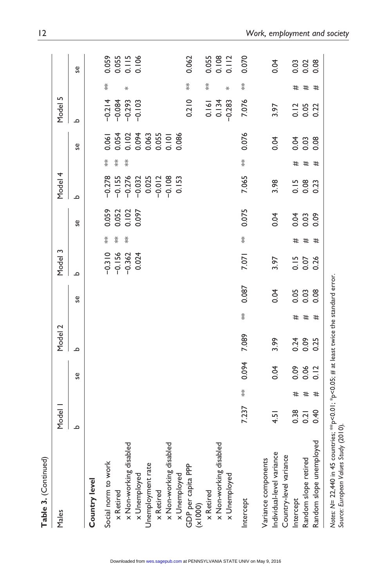| Table 3. (Continued)                                                                                                              |                  |   |       |         |     |              |                                              |   |                                  |                                              |   |                         |                                                                                                                            |   |                                  |
|-----------------------------------------------------------------------------------------------------------------------------------|------------------|---|-------|---------|-----|--------------|----------------------------------------------|---|----------------------------------|----------------------------------------------|---|-------------------------|----------------------------------------------------------------------------------------------------------------------------|---|----------------------------------|
| Males                                                                                                                             | Model 1          |   |       | Model 2 |     |              | Model 3                                      |   |                                  | Model 4                                      |   |                         | Model 5                                                                                                                    |   |                                  |
|                                                                                                                                   | م                |   | Se    | م       |     | Se           | م                                            |   | Se                               | م                                            |   | Se                      | م                                                                                                                          |   | 9S                               |
| Country level                                                                                                                     |                  |   |       |         |     |              |                                              |   |                                  |                                              |   |                         |                                                                                                                            |   |                                  |
| Social norm to work                                                                                                               |                  |   |       |         |     |              |                                              | 菜 |                                  |                                              | 菜 | 0.061                   |                                                                                                                            | 菜 |                                  |
|                                                                                                                                   |                  |   |       |         |     |              |                                              | 菜 |                                  |                                              | 粪 | 0.054                   |                                                                                                                            |   |                                  |
| x Retired<br>x Non-working disabled                                                                                               |                  |   |       |         |     |              | $-0.310$<br>$-0.156$<br>$-0.362$<br>$-0.362$ | 菜 | 0.059<br>0.052<br>0.102<br>0.097 | $-0.278$<br>$-0.155$<br>$-0.276$<br>$-0.032$ | 菜 | 0.102                   | $\frac{4}{10}$<br>$\frac{4}{10}$<br>$\frac{6}{10}$<br>$\frac{6}{10}$<br>$\frac{1}{10}$<br>$\frac{1}{10}$<br>$\frac{1}{10}$ | ⋇ | 0.059<br>0.055<br>0.115<br>0.106 |
| x Unemployed                                                                                                                      |                  |   |       |         |     |              |                                              |   |                                  |                                              |   | 0.094                   |                                                                                                                            |   |                                  |
| Unemployment rate                                                                                                                 |                  |   |       |         |     |              |                                              |   |                                  |                                              |   | 0.063                   |                                                                                                                            |   |                                  |
| x Retired                                                                                                                         |                  |   |       |         |     |              |                                              |   |                                  |                                              |   |                         |                                                                                                                            |   |                                  |
| x Non-working disabled<br>x Unemployed                                                                                            |                  |   |       |         |     |              |                                              |   |                                  | $0.025$<br>$-0.012$<br>$-0.108$              |   | 0.055<br>0.101<br>0.086 |                                                                                                                            |   |                                  |
|                                                                                                                                   |                  |   |       |         |     |              |                                              |   |                                  | 0.153                                        |   |                         |                                                                                                                            |   |                                  |
| GDP per capita PPP<br>(x1000)<br>x Retired<br>x Non-working disabled                                                              |                  |   |       |         |     |              |                                              |   |                                  |                                              |   |                         | 0.210                                                                                                                      | ≸ | 0.062                            |
|                                                                                                                                   |                  |   |       |         |     |              |                                              |   |                                  |                                              |   |                         |                                                                                                                            |   |                                  |
|                                                                                                                                   |                  |   |       |         |     |              |                                              |   |                                  |                                              |   |                         | 0.161                                                                                                                      | 菜 |                                  |
|                                                                                                                                   |                  |   |       |         |     |              |                                              |   |                                  |                                              |   |                         | 0.134                                                                                                                      |   | 0.055<br>0.108<br>0.112          |
| x Unemployed                                                                                                                      |                  |   |       |         |     |              |                                              |   |                                  |                                              |   |                         | $-0.283$                                                                                                                   | ⋇ |                                  |
| Intercept                                                                                                                         | 7.237            | ≸ | 0.094 | 7.089   | ≸   | 0.087        | 7.071                                        | ≸ | 0.075                            | 7.065                                        | 菜 | 0.076                   | 7.076                                                                                                                      | ≸ | 0.070                            |
| Variance components                                                                                                               |                  |   |       |         |     |              |                                              |   |                                  |                                              |   |                         |                                                                                                                            |   |                                  |
| Individual-level variance                                                                                                         | 4.51             |   | 0.04  | 3.99    |     | 0.04         | 3.97                                         |   | 0.04                             | 3.98                                         |   | 0.04                    | 3.97                                                                                                                       |   | 0.04                             |
| Country-level variance                                                                                                            |                  |   |       |         |     |              |                                              |   |                                  |                                              |   |                         |                                                                                                                            |   |                                  |
| Intercept                                                                                                                         | $0.38$<br>$0.21$ | # |       | 0.24    | #   |              |                                              | # |                                  |                                              | # |                         |                                                                                                                            | # |                                  |
| Random slope retired                                                                                                              |                  | # | 0.06  |         | # # | 0.03<br>0.03 | 0.15<br>0.07<br>0.26                         | # | 3<br>3<br>0<br>0<br>0<br>0<br>0  | 15<br>0.8<br>0.23                            | # | 8.03<br>0.03            | 0.13<br>0.5<br>0.22                                                                                                        | # | 8<br>8<br>8<br>8<br>8<br>8<br>8  |
| Random slope unemployed                                                                                                           | 0.40             | # | 0.12  | 0.25    |     | 0.08         |                                              | # |                                  |                                              | # | 0.08                    |                                                                                                                            | # |                                  |
| Notes: N= 22,440 in 45 countries; **p<0.01; *p<0.05; # at least twice the standard error<br>Source: European Values Study (2010). |                  |   |       |         |     |              |                                              |   |                                  |                                              |   |                         |                                                                                                                            |   |                                  |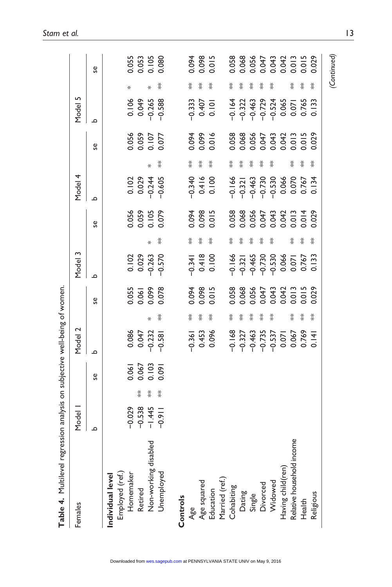| Table 4. Multilevel regre     |                      |   |                         | ession analysis on subjective well-being of women.                           |   |                                                     |                                                                                                                               |   |                                  |                                                                                                                                                                                                                                                                                                                                   |    |                                                     |                                                                                                                                        |   |                                                     |
|-------------------------------|----------------------|---|-------------------------|------------------------------------------------------------------------------|---|-----------------------------------------------------|-------------------------------------------------------------------------------------------------------------------------------|---|----------------------------------|-----------------------------------------------------------------------------------------------------------------------------------------------------------------------------------------------------------------------------------------------------------------------------------------------------------------------------------|----|-----------------------------------------------------|----------------------------------------------------------------------------------------------------------------------------------------|---|-----------------------------------------------------|
| Females                       | Model I              |   |                         | Model 2                                                                      |   |                                                     | Model 3                                                                                                                       |   |                                  | Model 4                                                                                                                                                                                                                                                                                                                           |    |                                                     | Model 5                                                                                                                                |   |                                                     |
|                               | م                    |   | Se                      | م                                                                            |   | Se                                                  | ء                                                                                                                             |   | Se                               | $\Omega$                                                                                                                                                                                                                                                                                                                          |    | Se                                                  | م                                                                                                                                      |   | Se                                                  |
| Individual level              |                      |   |                         |                                                                              |   |                                                     |                                                                                                                               |   |                                  |                                                                                                                                                                                                                                                                                                                                   |    |                                                     |                                                                                                                                        |   |                                                     |
| Employed (ref.)<br>Homemaker  |                      |   |                         |                                                                              |   |                                                     |                                                                                                                               |   |                                  |                                                                                                                                                                                                                                                                                                                                   |    |                                                     |                                                                                                                                        |   |                                                     |
|                               |                      |   |                         |                                                                              |   |                                                     |                                                                                                                               |   |                                  |                                                                                                                                                                                                                                                                                                                                   |    |                                                     |                                                                                                                                        | ⋇ |                                                     |
| Retired                       | $-0.029$<br>$-0.538$ | 粪 |                         |                                                                              |   |                                                     |                                                                                                                               |   |                                  |                                                                                                                                                                                                                                                                                                                                   |    |                                                     |                                                                                                                                        |   |                                                     |
| Non-working disabled          | $-1.445$             | 菜 | 0.061<br>0.067<br>0.103 |                                                                              |   | 0.055<br>0.061<br>0.078<br>0.078                    |                                                                                                                               | ∗ | 0.056<br>0.059<br>0.079<br>0.079 |                                                                                                                                                                                                                                                                                                                                   | ÷. | 0.056<br>0.059<br>0.077<br>0.077                    |                                                                                                                                        |   | 0.053<br>0.053<br>0.060<br>0.080                    |
| Unemployed                    | $-0.911$             | 菜 | 0.091                   | $0.086$ $0.047$ $0.0332$ $0.581$                                             | 菜 |                                                     | 0.102<br>0.029<br>0.263<br>0.570                                                                                              | 菜 |                                  | 0.102<br>0.029<br>0.244<br>0.605                                                                                                                                                                                                                                                                                                  | 菜  |                                                     | 0.106<br>0.049<br>0.265<br>-0.588                                                                                                      | 菜 |                                                     |
| Controls                      |                      |   |                         |                                                                              |   |                                                     |                                                                                                                               |   |                                  |                                                                                                                                                                                                                                                                                                                                   |    |                                                     |                                                                                                                                        |   |                                                     |
| Age                           |                      |   |                         |                                                                              | 菜 |                                                     |                                                                                                                               | 菜 |                                  |                                                                                                                                                                                                                                                                                                                                   | 菜  |                                                     |                                                                                                                                        | 菜 | 0.094                                               |
|                               |                      |   |                         | $-0.361$<br>0.453                                                            | 菜 | 0.094<br>0.098<br>0.015                             |                                                                                                                               | 菜 | 0.094<br>0.098<br>0.015          | $-0.340$<br>$0.416$<br>$0.100$                                                                                                                                                                                                                                                                                                    | 菜  | 0.094                                               | $-0.333$<br>0.407<br>0.101                                                                                                             | 菜 | 0.098                                               |
| Age squared<br>Education      |                      |   |                         | 0.096                                                                        | 菜 |                                                     | $-0.341$<br>0.418<br>0.100                                                                                                    | 菜 |                                  |                                                                                                                                                                                                                                                                                                                                   | 菜  | 0.016                                               |                                                                                                                                        | 菜 | 0.015                                               |
| Married (ref.)                |                      |   |                         |                                                                              |   |                                                     |                                                                                                                               |   |                                  |                                                                                                                                                                                                                                                                                                                                   |    |                                                     |                                                                                                                                        |   |                                                     |
| Cohabiting                    |                      |   |                         |                                                                              | 菜 |                                                     |                                                                                                                               | 菜 |                                  |                                                                                                                                                                                                                                                                                                                                   | 菜  |                                                     |                                                                                                                                        | 菜 |                                                     |
| Dating                        |                      |   |                         |                                                                              | 菜 |                                                     |                                                                                                                               | 菜 |                                  |                                                                                                                                                                                                                                                                                                                                   | 菜  |                                                     |                                                                                                                                        | 菜 |                                                     |
|                               |                      |   |                         |                                                                              | 菜 |                                                     |                                                                                                                               | ≸ |                                  |                                                                                                                                                                                                                                                                                                                                   | ≸  |                                                     |                                                                                                                                        | 蒅 |                                                     |
|                               |                      |   |                         |                                                                              | 菜 |                                                     |                                                                                                                               | 糞 |                                  |                                                                                                                                                                                                                                                                                                                                   | 菜  |                                                     |                                                                                                                                        | 菜 |                                                     |
| Single<br>Divorced<br>Widowed |                      |   |                         | $-0.168$<br>$-0.327$<br>$-0.463$<br>$-0.735$<br>$-0.537$<br>$0.071$<br>0.067 | 菜 | 0.058<br>0.068<br>0.0547<br>0.043<br>0.015<br>0.029 | $-0.145$ $-0.321$ $-0.329$ $-0.339$ $-0.339$ $-0.339$ $-0.339$ $-0.339$ $-0.339$ $-0.339$ $-0.339$ $-0.339$ $-0.339$ $-0.339$ | 菜 |                                  | $\begin{array}{l} 166 \\ -0.321 \\ -0.330 \\ -0.730 \\ -0.730 \\ -0.030 \\ -0.030 \\ -0.030 \\ -0.030 \\ -0.030 \\ -0.030 \\ -0.030 \\ -0.030 \\ -0.030 \\ -0.030 \\ -0.030 \\ -0.030 \\ -0.030 \\ -0.030 \\ -0.030 \\ -0.030 \\ -0.030 \\ -0.030 \\ -0.030 \\ -0.030 \\ -0.030 \\ -0.030 \\ -0.030 \\ -0.030 \\ -0.030 \\ -0.03$ | 菜  | 0.058<br>0.068<br>0.0547<br>0.043<br>0.015<br>0.029 | $-0.144$ $-0.322$ $-0.323$ $-0.324$ $-0.324$ $-0.324$ $-0.324$ $-0.324$ $-0.324$ $-0.324$ $-0.324$ $-0.324$ $-0.324$ $-0.324$ $-0.324$ | 菜 | 0.058<br>0.068<br>0.0547<br>0.013<br>0.013<br>0.029 |
| Having child(ren)             |                      |   |                         |                                                                              |   |                                                     |                                                                                                                               |   |                                  |                                                                                                                                                                                                                                                                                                                                   |    |                                                     |                                                                                                                                        |   |                                                     |
| Relative household income     |                      |   |                         |                                                                              | 菜 |                                                     |                                                                                                                               | 糞 |                                  |                                                                                                                                                                                                                                                                                                                                   | 菜  |                                                     |                                                                                                                                        | 菜 |                                                     |
| Health                        |                      |   |                         | 0.769<br>0.141                                                               | 粪 |                                                     |                                                                                                                               | 菜 |                                  |                                                                                                                                                                                                                                                                                                                                   | ¥, |                                                     |                                                                                                                                        | 菜 |                                                     |
| Religious                     |                      |   |                         |                                                                              | ≸ |                                                     |                                                                                                                               | 菜 |                                  |                                                                                                                                                                                                                                                                                                                                   | 菜  |                                                     |                                                                                                                                        | 菜 |                                                     |

 *(Continued)*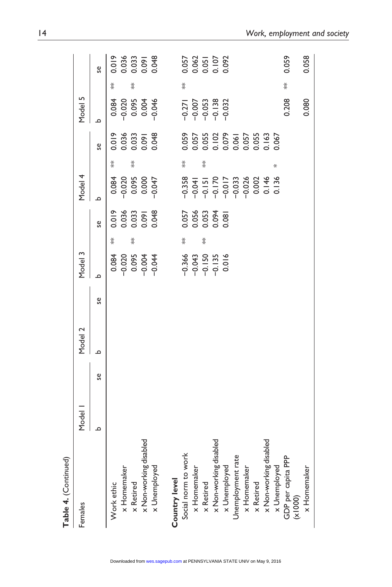| Table 4. (Continued)          |       |    |         |    |                                                     |   |                                  |                                                            |   |                                                               |                                                          |   |                                  |
|-------------------------------|-------|----|---------|----|-----------------------------------------------------|---|----------------------------------|------------------------------------------------------------|---|---------------------------------------------------------------|----------------------------------------------------------|---|----------------------------------|
| Females                       | Model |    | Model 2 |    | Yodel 3                                             |   |                                  | Model 4                                                    |   |                                                               | Model 5                                                  |   |                                  |
|                               | م     | δS | م       | 9S | م                                                   |   | 9S                               |                                                            |   | 9S                                                            | $\overline{\phantom{0}}$                                 |   | 9S                               |
| Work ethic                    |       |    |         |    |                                                     | 菜 |                                  |                                                            | 菜 |                                                               |                                                          | 菜 |                                  |
| x Homemaker                   |       |    |         |    |                                                     |   |                                  |                                                            |   |                                                               |                                                          |   |                                  |
| x Retired                     |       |    |         |    |                                                     | ≸ |                                  |                                                            | 菜 |                                                               |                                                          | 菜 |                                  |
| x Non-working disabled        |       |    |         |    |                                                     |   | 0.019<br>0.034<br>0.033<br>0.048 |                                                            |   | 0.019<br>0.036<br>0.033<br>0.048                              |                                                          |   | 0.019<br>0.036<br>0.033<br>0.048 |
| x Unemployed                  |       |    |         |    | 0.084<br>0.020<br>0.095<br>0.044                    |   |                                  | 0.084<br>0.020<br>0.000<br>0.000<br>0.047                  |   |                                                               | 0.084<br>0.020<br>0.095<br>0.0046                        |   |                                  |
| Country level                 |       |    |         |    |                                                     |   |                                  |                                                            |   |                                                               |                                                          |   |                                  |
| Social norm to work           |       |    |         |    |                                                     | 菜 |                                  |                                                            | 菜 |                                                               |                                                          | 菜 |                                  |
| x Homemaker                   |       |    |         |    | $0.366$<br>$0.043$<br>$0.150$<br>$0.015$<br>$0.016$ |   | 0.057<br>0.056<br>0.053<br>0.081 |                                                            |   |                                                               | $-0.271$<br>$-0.007$<br>$-0.053$<br>$-0.138$<br>$-0.138$ |   | 0.057<br>0.062<br>0.051<br>0.092 |
| x Retired                     |       |    |         |    |                                                     | 菜 |                                  |                                                            | 粪 |                                                               |                                                          |   |                                  |
| x Non-working disabled        |       |    |         |    |                                                     |   |                                  |                                                            |   |                                                               |                                                          |   |                                  |
| x Unemployed                  |       |    |         |    |                                                     |   |                                  | 388<br>0415170<br>0120170<br>01303<br>0136<br>0136<br>0136 |   | 0.059<br>0.057<br>0.05102<br>0.067<br>0.057<br>0.067<br>0.067 |                                                          |   |                                  |
| Unemployment rate             |       |    |         |    |                                                     |   |                                  |                                                            |   |                                                               |                                                          |   |                                  |
| x Homemaker                   |       |    |         |    |                                                     |   |                                  |                                                            |   |                                                               |                                                          |   |                                  |
| x Retired                     |       |    |         |    |                                                     |   |                                  |                                                            |   |                                                               |                                                          |   |                                  |
| x Non-working disabled        |       |    |         |    |                                                     |   |                                  |                                                            |   |                                                               |                                                          |   |                                  |
| x Unemployed                  |       |    |         |    |                                                     |   |                                  |                                                            | ⋇ |                                                               |                                                          |   |                                  |
| GDP per capita PPP<br>(x1000) |       |    |         |    |                                                     |   |                                  |                                                            |   |                                                               | 0.208                                                    | 菜 | 0.059                            |
| x Homemaker                   |       |    |         |    |                                                     |   |                                  |                                                            |   |                                                               | 0.080                                                    |   | 0.058                            |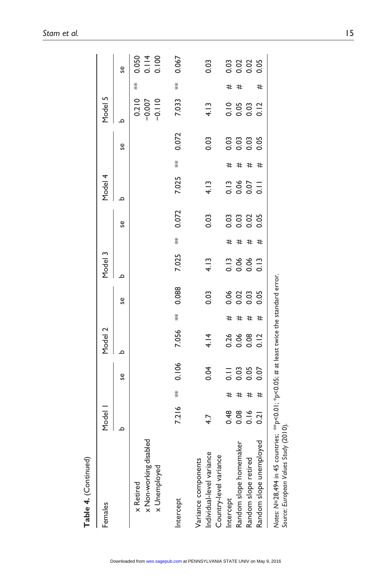| Females                                                        | Model                    |        |       | Model 2           |        |                               | Model 3 |        |                                      | Model 4          |        |                                      | Model 5              |        |                                           |
|----------------------------------------------------------------|--------------------------|--------|-------|-------------------|--------|-------------------------------|---------|--------|--------------------------------------|------------------|--------|--------------------------------------|----------------------|--------|-------------------------------------------|
|                                                                | م                        |        | ςe    | م                 |        | 9S                            | ٩       |        | Se                                   | م                |        | 9S                                   | م                    |        | ပ္တ                                       |
| <b>bəl</b><br>x Non-working disab<br>x Unemployed<br>x Retired |                          |        |       |                   |        |                               |         |        |                                      |                  |        |                                      | $-0.007$<br>0.210    | ≸      | 0.050<br>0.114<br>0.100                   |
| Intercept                                                      | 7.216                    | ≸      | 0.106 | 7.056             | ≸      | 0.088                         | 7.025   | ≸      | 0.072                                | 7.025            | ≸      | 0.072                                | 7.033                | ≸      | 0.067                                     |
| Individual-level variance<br>Variance components               | 4.7                      |        | 0.04  | 4.14              |        | 0.03                          | 4.13    |        | 0.03                                 | 4.13             |        | 0.03                                 | 4.13                 |        | 0.03                                      |
| Country-level variance                                         |                          |        |       |                   |        |                               |         |        |                                      |                  |        |                                      |                      |        |                                           |
| ă<br>Random slope homemak<br>Intercept                         | 8<br>8<br>0 3 9<br>0 2 1 | #<br># |       | 8<br>0.08<br>0.12 | #<br># | 8 8 8 8<br>8 8 8 8<br>8 8 8 8 | 138813  | #<br># | 8<br>8<br>8<br>8<br>8<br>8<br>8<br>8 | 13<br>000<br>000 | #<br># | 8<br>8<br>8<br>8<br>8<br>8<br>8<br>8 | 0.05<br>0.05<br>0.00 | #<br># | 8<br>8<br>8<br>8<br>8<br>8<br>8<br>8<br>8 |
| Random slope retired                                           |                          | #      |       |                   | #      |                               |         | #      |                                      |                  | #      |                                      |                      |        |                                           |
| Random slope unemployed                                        |                          | #      |       |                   | #      |                               |         | #      |                                      |                  | #      |                                      |                      | #      |                                           |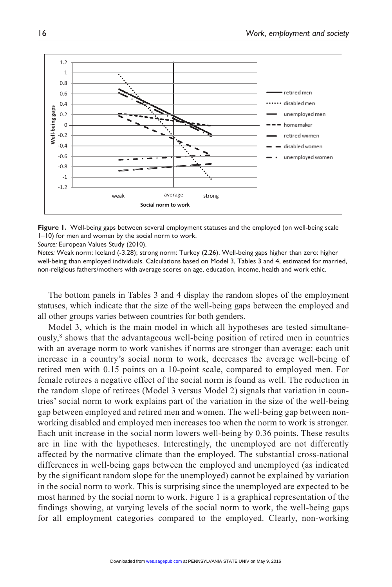

**Figure 1.** Well-being gaps between several employment statuses and the employed (on well-being scale 1–10) for men and women by the social norm to work.

*Source:* European Values Study (2010).

*Notes:* Weak norm: Iceland (-3.28); strong norm: Turkey (2.26). Well-being gaps higher than zero: higher well-being than employed individuals. Calculations based on Model 3, Tables 3 and 4, estimated for married, non-religious fathers/mothers with average scores on age, education, income, health and work ethic.

The bottom panels in Tables 3 and 4 display the random slopes of the employment statuses, which indicate that the size of the well-being gaps between the employed and all other groups varies between countries for both genders.

Model 3, which is the main model in which all hypotheses are tested simultaneously,8 shows that the advantageous well-being position of retired men in countries with an average norm to work vanishes if norms are stronger than average: each unit increase in a country's social norm to work, decreases the average well-being of retired men with 0.15 points on a 10-point scale, compared to employed men. For female retirees a negative effect of the social norm is found as well. The reduction in the random slope of retirees (Model 3 versus Model 2) signals that variation in countries' social norm to work explains part of the variation in the size of the well-being gap between employed and retired men and women. The well-being gap between nonworking disabled and employed men increases too when the norm to work is stronger. Each unit increase in the social norm lowers well-being by 0.36 points. These results are in line with the hypotheses. Interestingly, the unemployed are not differently affected by the normative climate than the employed. The substantial cross-national differences in well-being gaps between the employed and unemployed (as indicated by the significant random slope for the unemployed) cannot be explained by variation in the social norm to work. This is surprising since the unemployed are expected to be most harmed by the social norm to work. Figure 1 is a graphical representation of the findings showing, at varying levels of the social norm to work, the well-being gaps for all employment categories compared to the employed. Clearly, non-working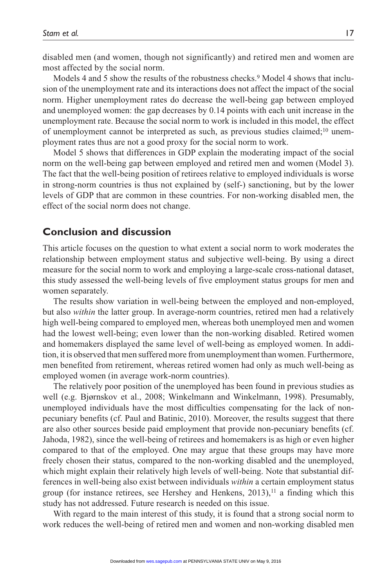disabled men (and women, though not significantly) and retired men and women are most affected by the social norm.

Models 4 and 5 show the results of the robustness checks.9 Model 4 shows that inclusion of the unemployment rate and its interactions does not affect the impact of the social norm. Higher unemployment rates do decrease the well-being gap between employed and unemployed women: the gap decreases by 0.14 points with each unit increase in the unemployment rate. Because the social norm to work is included in this model, the effect of unemployment cannot be interpreted as such, as previous studies claimed;10 unemployment rates thus are not a good proxy for the social norm to work.

Model 5 shows that differences in GDP explain the moderating impact of the social norm on the well-being gap between employed and retired men and women (Model 3). The fact that the well-being position of retirees relative to employed individuals is worse in strong-norm countries is thus not explained by (self-) sanctioning, but by the lower levels of GDP that are common in these countries. For non-working disabled men, the effect of the social norm does not change.

# **Conclusion and discussion**

This article focuses on the question to what extent a social norm to work moderates the relationship between employment status and subjective well-being. By using a direct measure for the social norm to work and employing a large-scale cross-national dataset, this study assessed the well-being levels of five employment status groups for men and women separately.

The results show variation in well-being between the employed and non-employed, but also *within* the latter group. In average-norm countries, retired men had a relatively high well-being compared to employed men, whereas both unemployed men and women had the lowest well-being; even lower than the non-working disabled. Retired women and homemakers displayed the same level of well-being as employed women. In addition, it is observed that men suffered more from unemployment than women. Furthermore, men benefited from retirement, whereas retired women had only as much well-being as employed women (in average work-norm countries).

The relatively poor position of the unemployed has been found in previous studies as well (e.g. Bjørnskov et al., 2008; Winkelmann and Winkelmann, 1998). Presumably, unemployed individuals have the most difficulties compensating for the lack of nonpecuniary benefits (cf. Paul and Batinic, 2010). Moreover, the results suggest that there are also other sources beside paid employment that provide non-pecuniary benefits (cf. Jahoda, 1982), since the well-being of retirees and homemakers is as high or even higher compared to that of the employed. One may argue that these groups may have more freely chosen their status, compared to the non-working disabled and the unemployed, which might explain their relatively high levels of well-being. Note that substantial differences in well-being also exist between individuals *within* a certain employment status group (for instance retirees, see Hershey and Henkens, 2013),<sup>11</sup> a finding which this study has not addressed. Future research is needed on this issue.

With regard to the main interest of this study, it is found that a strong social norm to work reduces the well-being of retired men and women and non-working disabled men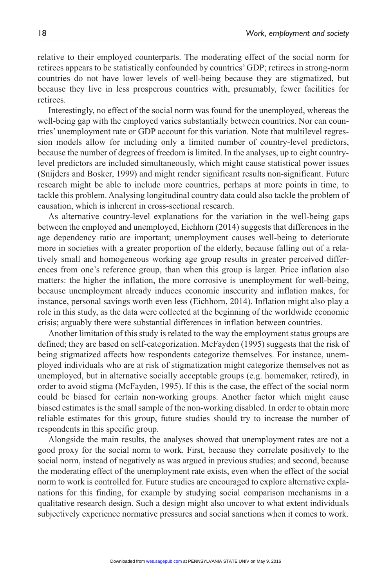relative to their employed counterparts. The moderating effect of the social norm for retirees appears to be statistically confounded by countries' GDP; retirees in strong-norm countries do not have lower levels of well-being because they are stigmatized, but because they live in less prosperous countries with, presumably, fewer facilities for retirees.

Interestingly, no effect of the social norm was found for the unemployed, whereas the well-being gap with the employed varies substantially between countries. Nor can countries' unemployment rate or GDP account for this variation. Note that multilevel regression models allow for including only a limited number of country-level predictors, because the number of degrees of freedom is limited. In the analyses, up to eight countrylevel predictors are included simultaneously, which might cause statistical power issues (Snijders and Bosker, 1999) and might render significant results non-significant. Future research might be able to include more countries, perhaps at more points in time, to tackle this problem. Analysing longitudinal country data could also tackle the problem of causation, which is inherent in cross-sectional research.

As alternative country-level explanations for the variation in the well-being gaps between the employed and unemployed, Eichhorn (2014) suggests that differences in the age dependency ratio are important; unemployment causes well-being to deteriorate more in societies with a greater proportion of the elderly, because falling out of a relatively small and homogeneous working age group results in greater perceived differences from one's reference group, than when this group is larger. Price inflation also matters: the higher the inflation, the more corrosive is unemployment for well-being, because unemployment already induces economic insecurity and inflation makes, for instance, personal savings worth even less (Eichhorn, 2014). Inflation might also play a role in this study, as the data were collected at the beginning of the worldwide economic crisis; arguably there were substantial differences in inflation between countries.

Another limitation of this study is related to the way the employment status groups are defined; they are based on self-categorization. McFayden (1995) suggests that the risk of being stigmatized affects how respondents categorize themselves. For instance, unemployed individuals who are at risk of stigmatization might categorize themselves not as unemployed, but in alternative socially acceptable groups (e.g. homemaker, retired), in order to avoid stigma (McFayden, 1995). If this is the case, the effect of the social norm could be biased for certain non-working groups. Another factor which might cause biased estimates is the small sample of the non-working disabled. In order to obtain more reliable estimates for this group, future studies should try to increase the number of respondents in this specific group.

Alongside the main results, the analyses showed that unemployment rates are not a good proxy for the social norm to work. First, because they correlate positively to the social norm, instead of negatively as was argued in previous studies; and second, because the moderating effect of the unemployment rate exists, even when the effect of the social norm to work is controlled for. Future studies are encouraged to explore alternative explanations for this finding, for example by studying social comparison mechanisms in a qualitative research design. Such a design might also uncover to what extent individuals subjectively experience normative pressures and social sanctions when it comes to work.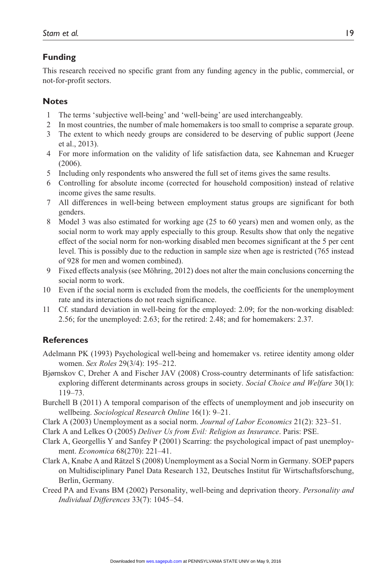# **Funding**

This research received no specific grant from any funding agency in the public, commercial, or not-for-profit sectors.

# **Notes**

- 1 The terms 'subjective well-being' and 'well-being' are used interchangeably.
- 2 In most countries, the number of male homemakers is too small to comprise a separate group.
- 3 The extent to which needy groups are considered to be deserving of public support (Jeene et al., 2013).
- 4 For more information on the validity of life satisfaction data, see Kahneman and Krueger (2006).
- 5 Including only respondents who answered the full set of items gives the same results.
- 6 Controlling for absolute income (corrected for household composition) instead of relative income gives the same results.
- 7 All differences in well-being between employment status groups are significant for both genders.
- 8 Model 3 was also estimated for working age (25 to 60 years) men and women only, as the social norm to work may apply especially to this group. Results show that only the negative effect of the social norm for non-working disabled men becomes significant at the 5 per cent level. This is possibly due to the reduction in sample size when age is restricted (765 instead of 928 for men and women combined).
- 9 Fixed effects analysis (see Möhring, 2012) does not alter the main conclusions concerning the social norm to work.
- 10 Even if the social norm is excluded from the models, the coefficients for the unemployment rate and its interactions do not reach significance.
- 11 Cf. standard deviation in well-being for the employed: 2.09; for the non-working disabled: 2.56; for the unemployed: 2.63; for the retired: 2.48; and for homemakers: 2.37.

# **References**

- Adelmann PK (1993) Psychological well-being and homemaker vs. retiree identity among older women. *Sex Roles* 29(3/4): 195–212.
- Bjørnskov C, Dreher A and Fischer JAV (2008) Cross-country determinants of life satisfaction: exploring different determinants across groups in society. *Social Choice and Welfare* 30(1): 119–73.
- Burchell B (2011) A temporal comparison of the effects of unemployment and job insecurity on wellbeing. *Sociological Research Online* 16(1): 9–21.
- Clark A (2003) Unemployment as a social norm. *Journal of Labor Economics* 21(2): 323–51.
- Clark A and Lelkes O (2005) *Deliver Us from Evil: Religion as Insurance*. Paris: PSE.
- Clark A, Georgellis Y and Sanfey P (2001) Scarring: the psychological impact of past unemployment. *Economica* 68(270): 221–41.
- Clark A, Knabe A and Rätzel S (2008) Unemployment as a Social Norm in Germany. SOEP papers on Multidisciplinary Panel Data Research 132, Deutsches Institut für Wirtschaftsforschung, Berlin, Germany.
- Creed PA and Evans BM (2002) Personality, well-being and deprivation theory. *Personality and Individual Differences* 33(7): 1045–54.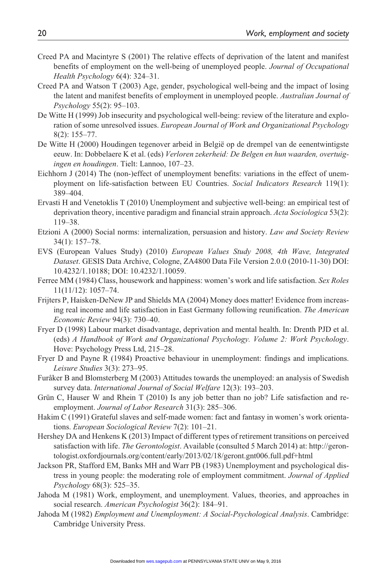- Creed PA and Macintyre S (2001) The relative effects of deprivation of the latent and manifest benefits of employment on the well-being of unemployed people. *Journal of Occupational Health Psychology* 6(4): 324–31.
- Creed PA and Watson T (2003) Age, gender, psychological well-being and the impact of losing the latent and manifest benefits of employment in unemployed people. *Australian Journal of Psychology* 55(2): 95–103.
- De Witte H (1999) Job insecurity and psychological well-being: review of the literature and exploration of some unresolved issues. *European Journal of Work and Organizational Psychology* 8(2): 155–77.
- De Witte H (2000) Houdingen tegenover arbeid in België op de drempel van de eenentwintigste eeuw. In: Dobbelaere K et al. (eds) *Verloren zekerheid: De Belgen en hun waarden, overtuigingen en houdingen*. Tielt: Lannoo, 107–23.
- Eichhorn J (2014) The (non-)effect of unemployment benefits: variations in the effect of unemployment on life-satisfaction between EU Countries. *Social Indicators Research* 119(1): 389–404.
- Ervasti H and Venetoklis T (2010) Unemployment and subjective well-being: an empirical test of deprivation theory, incentive paradigm and financial strain approach. *Acta Sociologica* 53(2): 119–38.
- Etzioni A (2000) Social norms: internalization, persuasion and history. *Law and Society Review* 34(1): 157–78.
- EVS (European Values Study) (2010) *European Values Study 2008, 4th Wave, Integrated Dataset*. GESIS Data Archive, Cologne, ZA4800 Data File Version 2.0.0 (2010-11-30) DOI: 10.4232/1.10188; DOI: 10.4232/1.10059.
- Ferree MM (1984) Class, housework and happiness: women's work and life satisfaction. *Sex Roles* 11(11/12): 1057–74.
- Frijters P, Haisken-DeNew JP and Shields MA (2004) Money does matter! Evidence from increasing real income and life satisfaction in East Germany following reunification. *The American Economic Review* 94(3): 730–40.
- Fryer D (1998) Labour market disadvantage, deprivation and mental health. In: Drenth PJD et al. (eds) *A Handbook of Work and Organizational Psychology. Volume 2: Work Psychology*. Hove: Psychology Press Ltd, 215–28.
- Fryer D and Payne R (1984) Proactive behaviour in unemployment: findings and implications. *Leisure Studies* 3(3): 273–95.
- Furåker B and Blomsterberg M (2003) Attitudes towards the unemployed: an analysis of Swedish survey data. *International Journal of Social Welfare* 12(3): 193–203.
- Grün C, Hauser W and Rhein T (2010) Is any job better than no job? Life satisfaction and reemployment. *Journal of Labor Research* 31(3): 285–306.
- Hakim C (1991) Grateful slaves and self-made women: fact and fantasy in women's work orientations. *European Sociological Review* 7(2): 101–21.
- Hershey DA and Henkens K (2013) Impact of different types of retirement transitions on perceived satisfaction with life. *The Gerontologist*. Available (consulted 5 March 2014) at: [http://geron](http://gerontologist.oxfordjournals.org/content/early/2013/02/18/geront.gnt006.full.pdf+html)[tologist.oxfordjournals.org/content/early/2013/02/18/geront.gnt006.full.pdf+html](http://gerontologist.oxfordjournals.org/content/early/2013/02/18/geront.gnt006.full.pdf+html)
- Jackson PR, Stafford EM, Banks MH and Warr PB (1983) Unemployment and psychological distress in young people: the moderating role of employment commitment. *Journal of Applied Psychology* 68(3): 525–35.
- Jahoda M (1981) Work, employment, and unemployment. Values, theories, and approaches in social research. *American Psychologist* 36(2): 184–91.
- Jahoda M (1982) *Employment and Unemployment: A Social-Psychological Analysis*. Cambridge: Cambridge University Press.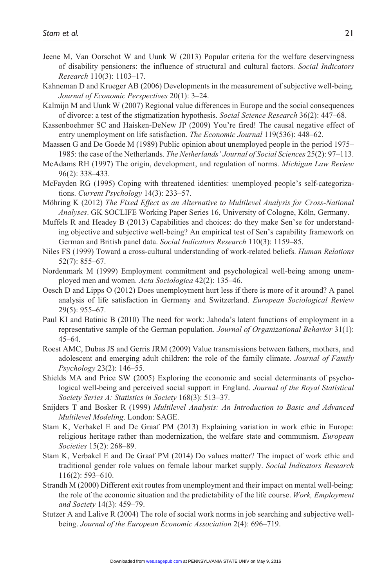- Jeene M, Van Oorschot W and Uunk W (2013) Popular criteria for the welfare deservingness of disability pensioners: the influence of structural and cultural factors. *Social Indicators Research* 110(3): 1103–17.
- Kahneman D and Krueger AB (2006) Developments in the measurement of subjective well-being. *Journal of Economic Perspectives* 20(1): 3–24.
- Kalmijn M and Uunk W (2007) Regional value differences in Europe and the social consequences of divorce: a test of the stigmatization hypothesis. *Social Science Research* 36(2): 447–68.
- Kassenboehmer SC and Haisken-DeNew JP (2009) You're fired! The causal negative effect of entry unemployment on life satisfaction. *The Economic Journal* 119(536): 448–62.
- Maassen G and De Goede M (1989) Public opinion about unemployed people in the period 1975– 1985: the case of the Netherlands. *The Netherlands' Journal of Social Sciences* 25(2): 97–113.
- McAdams RH (1997) The origin, development, and regulation of norms. *Michigan Law Review* 96(2): 338–433.
- McFayden RG (1995) Coping with threatened identities: unemployed people's self-categorizations. *Current Psychology* 14(3): 233–57.
- Möhring K (2012) *The Fixed Effect as an Alternative to Multilevel Analysis for Cross-National Analyses*. GK SOCLIFE Working Paper Series 16, University of Cologne, Köln, Germany.
- Muffels R and Headey B (2013) Capabilities and choices: do they make Sen'se for understanding objective and subjective well-being? An empirical test of Sen's capability framework on German and British panel data. *Social Indicators Research* 110(3): 1159–85.
- Niles FS (1999) Toward a cross-cultural understanding of work-related beliefs. *Human Relations* 52(7): 855–67.
- Nordenmark M (1999) Employment commitment and psychological well-being among unemployed men and women. *Acta Sociologica* 42(2): 135–46.
- Oesch D and Lipps O (2012) Does unemployment hurt less if there is more of it around? A panel analysis of life satisfaction in Germany and Switzerland. *European Sociological Review* 29(5): 955–67.
- Paul KI and Batinic B (2010) The need for work: Jahoda's latent functions of employment in a representative sample of the German population. *Journal of Organizational Behavior* 31(1): 45–64.
- Roest AMC, Dubas JS and Gerris JRM (2009) Value transmissions between fathers, mothers, and adolescent and emerging adult children: the role of the family climate. *Journal of Family Psychology* 23(2): 146–55.
- Shields MA and Price SW (2005) Exploring the economic and social determinants of psychological well-being and perceived social support in England. *Journal of the Royal Statistical Society Series A: Statistics in Society* 168(3): 513–37.
- Snijders T and Bosker R (1999) *Multilevel Analysis: An Introduction to Basic and Advanced Multilevel Modeling*. London: SAGE.
- Stam K, Verbakel E and De Graaf PM (2013) Explaining variation in work ethic in Europe: religious heritage rather than modernization, the welfare state and communism. *European Societies* 15(2): 268–89.
- Stam K, Verbakel E and De Graaf PM (2014) Do values matter? The impact of work ethic and traditional gender role values on female labour market supply. *Social Indicators Research* 116(2): 593–610.
- Strandh M (2000) Different exit routes from unemployment and their impact on mental well-being: the role of the economic situation and the predictability of the life course. *Work, Employment and Society* 14(3): 459–79.
- Stutzer A and Lalive R (2004) The role of social work norms in job searching and subjective wellbeing. *Journal of the European Economic Association* 2(4): 696–719.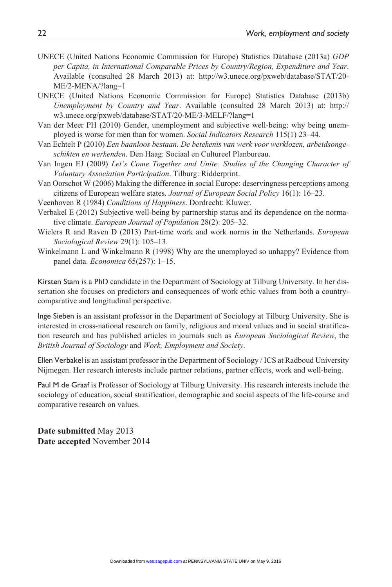- UNECE (United Nations Economic Commission for Europe) Statistics Database (2013a) *GDP per Capita, in International Comparable Prices by Country/Region, Expenditure and Year*. Available (consulted 28 March 2013) at: [http://w3.unece.org/pxweb/database/STAT/20-](http://w3.unece.org/pxweb/database/STAT/20-ME/2-MENA/?lang=1) [ME/2-MENA/?lang=1](http://w3.unece.org/pxweb/database/STAT/20-ME/2-MENA/?lang=1)
- UNECE (United Nations Economic Commission for Europe) Statistics Database (2013b) *Unemployment by Country and Year*. Available (consulted 28 March 2013) at: [http://](http://w3.unece.org/pxweb/database/STAT/20-ME/3-MELF/?lang=1) [w3.unece.org/pxweb/database/STAT/20-ME/3-MELF/?lang=1](http://w3.unece.org/pxweb/database/STAT/20-ME/3-MELF/?lang=1)
- Van der Meer PH (2010) Gender, unemployment and subjective well-being: why being unemployed is worse for men than for women. *Social Indicators Research* 115(1) 23–44.
- Van Echtelt P (2010) *Een baanloos bestaan. De betekenis van werk voor werklozen, arbeidsongeschikten en werkenden*. Den Haag: Sociaal en Cultureel Planbureau.
- Van Ingen EJ (2009) *Let's Come Together and Unite: Studies of the Changing Character of Voluntary Association Participation*. Tilburg: Ridderprint.
- Van Oorschot W (2006) Making the difference in social Europe: deservingness perceptions among citizens of European welfare states. *Journal of European Social Policy* 16(1): 16–23.
- Veenhoven R (1984) *Conditions of Happiness*. Dordrecht: Kluwer.
- Verbakel E (2012) Subjective well-being by partnership status and its dependence on the normative climate. *European Journal of Population* 28(2): 205–32.
- Wielers R and Raven D (2013) Part-time work and work norms in the Netherlands. *European Sociological Review* 29(1): 105–13.
- Winkelmann L and Winkelmann R (1998) Why are the unemployed so unhappy? Evidence from panel data. *Economica* 65(257): 1–15.

Kirsten Stam is a PhD candidate in the Department of Sociology at Tilburg University. In her dissertation she focuses on predictors and consequences of work ethic values from both a countrycomparative and longitudinal perspective.

Inge Sieben is an assistant professor in the Department of Sociology at Tilburg University. She is interested in cross-national research on family, religious and moral values and in social stratification research and has published articles in journals such as *European Sociological Review*, the *British Journal of Sociology* and *Work, Employment and Society*.

Ellen Verbakel is an assistant professor in the Department of Sociology / ICS at Radboud University Nijmegen. Her research interests include partner relations, partner effects, work and well-being.

Paul M de Graaf is Professor of Sociology at Tilburg University. His research interests include the sociology of education, social stratification, demographic and social aspects of the life-course and comparative research on values.

**Date submitted** May 2013 **Date accepted** November 2014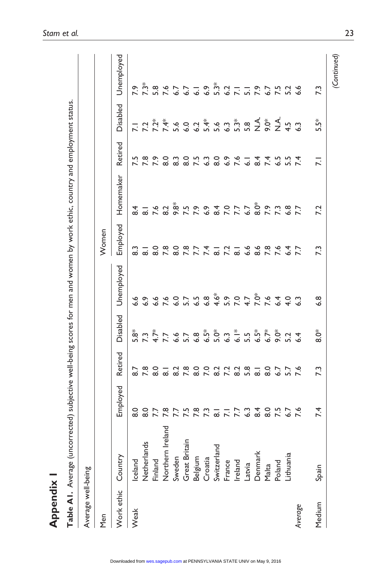|  | D |
|--|---|
|  |   |
|  |   |
|  | ÿ |
|  |   |
|  |   |
|  |   |
|  |   |
|  |   |
|  |   |

|                    | Table A1. Average (uncorrected) subjective well-being scores for men and women by work ethic, country and employment status. |                     |                     |                            |                    |                     |                                                       |                   |                                                                                                                                                                                                                        |                             |
|--------------------|------------------------------------------------------------------------------------------------------------------------------|---------------------|---------------------|----------------------------|--------------------|---------------------|-------------------------------------------------------|-------------------|------------------------------------------------------------------------------------------------------------------------------------------------------------------------------------------------------------------------|-----------------------------|
| Average well-being |                                                                                                                              |                     |                     |                            |                    |                     |                                                       |                   |                                                                                                                                                                                                                        |                             |
| Men                |                                                                                                                              |                     |                     |                            |                    | Women               |                                                       |                   |                                                                                                                                                                                                                        |                             |
| Work ethic         | Country                                                                                                                      | Employed            | Retired             | Disabled                   | Unemployed         | Employed            | Homemaker                                             | Retired           | Disabled                                                                                                                                                                                                               | Unemployed                  |
| Weak               | Iceland                                                                                                                      | $\frac{0}{8}$       | $\overline{\infty}$ |                            | 6.6                | ္ယ                  | $\frac{4}{8}$                                         | $\overline{7.5}$  |                                                                                                                                                                                                                        | 7.9                         |
|                    | Netherlands                                                                                                                  | $_{\rm 8.0}$        | 7.8                 | ڴ۫<br>ۿۨ۫؋؊ٞٞڋڋ؈ڋۄۿڋۿ؆؊ڞ؋ۿ | 6.9                | $\overline{\infty}$ | $\overline{\overset{\rightharpoonup}{\infty}}$        | 7.8               | الدانية موم شهرة معرضة لا بن ينه بن الله عنه الله عنه الله عنه الله عنه الله عنه الله عنه الله عنه ا<br>الله عنه الله عنه الله عنه الله عنه الله عنه الله عنه الله عنه الله عنه الله عنه الله عنه الله عنه الله عنه ال | $7.\overline{3}^*$          |
|                    | Finland                                                                                                                      | 7.7                 | <u>င</u> ္တ         |                            | 6.6                | $\frac{0}{8}$       | 7.6                                                   | 7.9               |                                                                                                                                                                                                                        |                             |
|                    | Ireland<br>Northern                                                                                                          |                     | ್ಹ                  |                            |                    | 7.8                 |                                                       | $\frac{0}{8}$     |                                                                                                                                                                                                                        |                             |
|                    | Sweden                                                                                                                       | 227222<br>22722     | 8.2                 |                            | 7.6<br>6.0         | $\frac{0}{8}$       | $\frac{2}{8}$<br>$\frac{8}{8}$                        | $\frac{3}{8}$     |                                                                                                                                                                                                                        |                             |
|                    | Great Britain                                                                                                                |                     | 7.8                 |                            | 5.7                | 7.8                 |                                                       | $\frac{0}{8}$     |                                                                                                                                                                                                                        |                             |
|                    | Belgium                                                                                                                      |                     | $\frac{0}{8}$       |                            | 6.5                |                     | <b>KR S S KR S S KR S KR</b><br>KR S S KR S S KR S KR | 7.5               |                                                                                                                                                                                                                        |                             |
|                    | Croatia                                                                                                                      |                     | 7.0                 |                            | 6.8                | 7.7                 |                                                       | 6.3               |                                                                                                                                                                                                                        | 6.9                         |
|                    | ᠊ᠣ<br>Switzerlan                                                                                                             | $\overline{\infty}$ | 8.2                 |                            |                    | $\overline{\circ}$  |                                                       | $\overline{8}$ .0 |                                                                                                                                                                                                                        |                             |
|                    | France                                                                                                                       |                     | 7.2                 |                            | $4.6*$<br>5.9      | 7.2                 |                                                       | 6.9               |                                                                                                                                                                                                                        |                             |
|                    | Ireland                                                                                                                      | $7.794$<br>$7.34$   | $\frac{2}{8}$       |                            |                    | $\overline{\circ}$  |                                                       | 7.6               |                                                                                                                                                                                                                        | $\frac{3}{2}$<br>5.2<br>7.1 |
|                    | Latvia                                                                                                                       |                     | 5.8                 |                            |                    | 6.6                 |                                                       | $\overline{6}$    |                                                                                                                                                                                                                        |                             |
|                    | Denmark                                                                                                                      |                     | $\overline{\infty}$ |                            |                    | $\frac{6}{8}$       |                                                       | $\overline{84}$   |                                                                                                                                                                                                                        | $\frac{5.1}{7.9}$           |
|                    | Malta                                                                                                                        |                     | $\frac{0}{8}$       |                            | $7.788$<br>$7.788$ | 7.8                 |                                                       | 7.4               |                                                                                                                                                                                                                        |                             |
|                    | Poland                                                                                                                       | 8.5<br>7.5<br>6.7   | 6.7                 |                            |                    | 7.6                 |                                                       |                   |                                                                                                                                                                                                                        |                             |
|                    | Lithuania                                                                                                                    |                     | 5.7                 | 5.2                        | $640$<br>$403$     | 6.4                 |                                                       | 6.5<br>5.5        |                                                                                                                                                                                                                        | 7.5<br>5.2 6.               |
| Average            |                                                                                                                              | 7.6                 | 7.6                 | 6.4                        |                    | 7.7                 |                                                       | $7\overline{4}$   |                                                                                                                                                                                                                        |                             |
| Medium             | Spain                                                                                                                        | 7.4                 | 73                  | $8.0*$                     | 6.8                | 7.3                 | 7.2                                                   | $\overline{z}$    | $5.5*$                                                                                                                                                                                                                 | 7.3                         |
|                    |                                                                                                                              |                     |                     |                            |                    |                     |                                                       |                   |                                                                                                                                                                                                                        | (Continued)                 |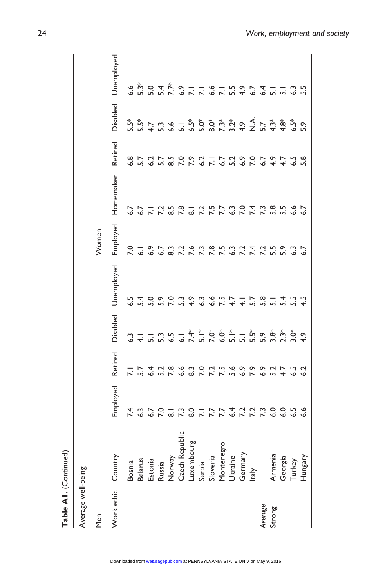| Table AI. (Convinued) |                    |                     |                  |          |                         |                |                |                                   |                                        |                |
|-----------------------|--------------------|---------------------|------------------|----------|-------------------------|----------------|----------------|-----------------------------------|----------------------------------------|----------------|
| Average well-being    |                    |                     |                  |          |                         |                |                |                                   |                                        |                |
| Men                   |                    |                     |                  |          |                         | Women          |                |                                   |                                        |                |
| Work ethic            | Country            | Employed            | Retired          | Disabled | Unemployed              | Employed       | Homemaker      | Retired                           | Disabled                               | Unemployed     |
|                       | Bosnia             | $7\overline{4}$     | $\overline{z}$   |          |                         | $\overline{2}$ | 5.9            | 6.8                               |                                        | 6.6            |
|                       | <b>Belarus</b>     | $\mathbf{c}$        | 5428<br>5428     |          | $5\frac{1}{4}$          | 2              |                |                                   | 5<br>5 5 7<br>5 7 7                    |                |
|                       | Estonia            | 6.7                 |                  |          |                         | 6.9            | $\overline{z}$ |                                   |                                        |                |
|                       | Russia             | $\overline{2}$      |                  |          |                         | 6.7            | 25             |                                   | $5.3$<br>$6.6$                         |                |
|                       | Norway             | $\overline{\infty}$ |                  |          |                         | 3              | 33             |                                   |                                        |                |
|                       | public<br>Czech Re | 73                  | 6.6              |          |                         | 7.2            | $\frac{8}{2}$  |                                   |                                        |                |
|                       | <b>Luxembourg</b>  | $\frac{0}{8}$       | $\frac{3}{8}$    |          |                         | 7.6            | ್ಹ             |                                   |                                        |                |
|                       | Serbia             | $\overline{z}$      |                  |          |                         | $\tilde{z}$    | 7.             |                                   |                                        |                |
|                       | Slovenia           | 7.7                 |                  |          |                         | 7.8            | 7.5            |                                   |                                        |                |
|                       | Montenegro         | 7.7                 | 0.256<br>0.256   |          | $3.9977 - 4.4$          | 7.5            | 77             | <b>こんてきのうとーてこうのてらてこることについてもらう</b> | ڽۨ<br>ۑۄڮۅڿٚؠڛٚڡٚڂ؊ڛۊڛٷ<br>ۑۄڿۄڿۄڿۄڿۄڿ |                |
|                       | Ukraine            |                     |                  |          |                         | 6.3            | ි              |                                   |                                        |                |
|                       | Germany            | $\tilde{z}$         | 6.9              |          |                         | 7.2            | $\overline{2}$ |                                   |                                        |                |
|                       | ltaly              | $\tilde{z}$         | 51               |          |                         | 7.4            | $7\frac{4}{1}$ |                                   |                                        |                |
| Average               |                    | 7.3                 | 6.9              |          | $5.\overline{7}$        | 7.2            | 7.3            |                                   |                                        |                |
| Strong                | Armenia            | $\frac{0}{6}$       | 5.2              |          | $\overline{5}$          | 5.5            | 5.8            |                                   |                                        | $\overline{5}$ |
|                       | Georgia            | $\frac{0}{6}$       | 4.7              |          |                         | 5.9            | 5.5            |                                   |                                        | $\overline{5}$ |
|                       | Turkey             |                     | 55               |          | $\frac{4}{5}$<br>5<br>4 | $\mathbb{S}^3$ | 6.6            |                                   |                                        | 3.5            |
|                       | Hungary            | 6.6                 | $\overline{6.2}$ |          |                         |                |                |                                   |                                        |                |